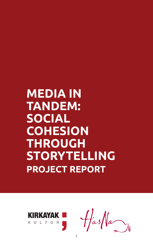# **MEDIA IN TANDEM: SOCIAL COHESION THROUGH STORYTELLING PROJECT REPORT**



 $\frac{1}{\sqrt{2}}$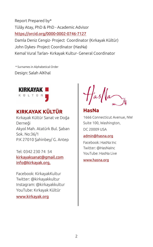Report Prepared by\* Tülây Atay, PhD & PhD - Academic Advisor <https://orcid.org/0000-0002-0746-7127> Damla Deniz Cengiz- Project Coordinator (Kırkayak Kültür) John Dykes- Project Coordinator (HasNa)

Kemal Vural Tarlan- Kırkayak Kultur- General Coordinator

 \* Surnames in Alphabetical Order Design: Salah AlKhal



#### **KIRKAYAK KÜLTÜR**

Kırkayak Kültür Sanat ve Doğa Derneği Akyol Mah. Atatürk Bul. Şaban Sok. No:36/1 P.K 27010 Şahinbey/ G. Antep

Tel: [0342 230 74 54](tel:(0342)%20230%2074%2054) [kirkayaksanat@gmail.com](mailto:kirkayaksanat@gmail.com) [info@kirkayak.org](mailto:info@kirkayak.org),

Facebook: KirkayakKultur Twitter: @kirkayakkultur Instagram: @kirkayakkultur YouTube: Kırkayak Kültür

[www.kirkayak.org](http://www.kirkayak.org/)

#### **HasNa** 1666 Connecticut Avenue, NW Suite 100, Washington,

DC 20009 USA

#### [admin@hasna.org](mailto:admin@hasna.org)

Facebook: HasNa Inc Twitter: @HasNaInc YouTube: HasNa Live

www[.hasna.org](https://hasna.org/)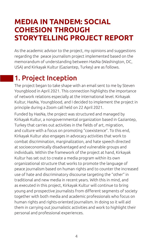### <span id="page-3-0"></span>**MEDIA IN TANDEM: SOCIAL COHESION THROUGH STORYTELLING PROJECT REPORT**

As the academic advisor to the project, my opinions and suggestions regarding the peace journalism project implemented based on the memorandum of understanding between HasNa (Washington, DC, USA) and Kirkayak Kultur (Gaziantep, Turkey) are as follows.

## 1. Project Inception

The project began to take shape with an email sent to me by Steven Youngblood in April 2021. This connection highlights the importance of network relations especially at the international level. Kirkayak Kultur, HasNa, Youngblood, and I decided to implement the project in principle during a Zoom call held on 22 April 2021.

Funded by HasNa, the project was structured and managed by Kirkayak Kultur, a nongovernmental organization based in Gaziantep, Turkey that carries out activities in the fields of art, migration, and culture with a focus on promoting "coexistence". To this end, Kirkayak Kultur also engages in advocacy activities that work to combat discrimination, marginalization, and hate speech directed at socioeconomically disadvantaged and vulnerable groups and individuals. Within the framework of the project at hand, Kirkayak Kultur has set out to create a media program within its own organizational structure that works to promote the language of peace journalism based on human rights and to counter the increased use of hate and discriminatory discourse targeting the "other" in traditional and new media in recent years. With this in mind, and as executed in this project, Kirkayak Kultur will continue to bring young and prospective journalists from different segments of society together with both media and academic professionals who focus on human rights and rights-oriented journalism. In doing so it will aid them in carrying out journalistic activities and work to highlight their personal and professional experiences.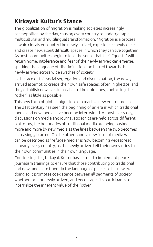### <span id="page-4-0"></span>**Kirkayak Kultur's Stance**

The globalization of migration is making societies increasingly cosmopolitan by the day, causing every country to undergo rapid multicultural and multilingual transformation. Migration is a process in which locals encounter the newly arrived, experience coexistence, and create new, albeit difficult, spaces in which they can live together. As host communities begin to lose the sense that their "guests" will return home, intolerance and fear of the newly arrived can emerge, sparking the language of discrimination and hatred towards the newly arrived across wide swathes of society.

In the face of this social segregation and discrimination, the newly arrived attempt to create their own safe spaces, often in ghettos, and they establish new lives in parallel to their old ones, contacting the "other" as little as possible.

This new form of global migration also marks a new era for media. The 21st century has seen the beginning of an era in which traditional media and new media have become intertwined. Almost every day, discussions on media and journalistic ethics are held across different platforms, the boundaries of traditional media are being pushed more and more by new media as the lines between the two becomes increasingly blurred. On the other hand, a new form of media which can be described as "refugee media" is now becoming widespread in nearly every country, as the newly arrived tell their own stories to their own communities in their own language.

Considering this, Kirkayak Kultur has set out to implement peace journalism trainings to ensure that those contributing to traditional and new media are fluent in the language of peace in this new era. In doing so it promotes coexistence between all segments of society, whether local or newly arrived, and encourages its participants to internalize the inherent value of the "other".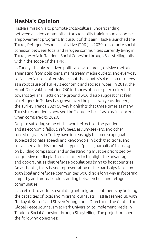### <span id="page-5-0"></span>**HasNa's Opinion**

HasNa's mission is to promote cross-cultural understanding between divided communities through skills training and economic empowerment programs. In pursuit of this aim, HasNa launched the Turkey Refugee Response Initiative (TRRI) in 2020 to promote social cohesion between local and refugee communities currently living in Turkey. Media in Tandem: Social Cohesion through Storytelling falls within the scope of the TRRI.

In Turkey's highly polarized political environment, divisive rhetoric emanating from politicians, mainstream media outlets, and everyday social media users often singles out the country's 4 million refugees as a root cause of Turkey's economic and societal woes. In 2019, the Hrant Dink Vakfi identified 760 instances of hate speech directed towards Syrians. Facts on the ground would also suggest that fear of refugees in Turkey has grown over the past two years. Indeed, the Turkey Trends 2021 Survey highlights that three times as many Turkish respondents now see the "refugee issue" as a main concern when compared to 2020.

Despite suffering some of the worst effects of the pandemic and its economic fallout, refugees, asylum-seekers, and other forced migrants in Turkey have increasingly become scapegoats, subjected to hate speech and xenophobia in both traditional and social media. In this context, a type of 'peace journalism' focusing on building compassion and understanding must be prioritized by progressive media platforms in order to highlight the advantages and opportunities that refugee populations bring to host countries. An authentic, facts-based representation of the hardships faced by both local and refugee communities would go a long way in fostering empathy and mutual understanding between host and refugee communities.

In an effort to address escalating anti-migrant sentiments by building the capacities of local and migrant journalists, HasNa teamed up with "Kirkayak Kultur" and Steven Youngblood, Director of the Center for Global Peace Journalism at Park University, to implement Media in Tandem: Social Cohesion through Storytelling. The project pursued the following objectives: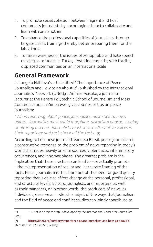- <span id="page-6-0"></span>1. To promote social cohesion between migrant and host community journalists by encouraging them to collaborate and learn with one another
- 2. To enhance the professional capacities of journalists through targeted skills trainings thereby better preparing them for the labor force
- 3. To raise awareness of the issues of xenophobia and hate speech relating to refugees in Turkey, fostering empathy with forcibly displaced communities on an international scale

### **General Framework**

In Lungelo Ndhlovu's article titled "The Importance of Peace Journalism and How to go about it", published by the International Journalists' Network (IJNet),(1) Admire Masuku, a journalism lecturer at the Harare Polytechnic School of Journalism and Mass Communication in Zimbabwe, gives a series of tips on peace journalism:

*"When reporting about peace, journalists must stick to news values. Journalists must avoid morphing, distorting photos, staging or altering a scene. Journalists must secure alternative voices in their reportage and fact-check all the facts."*(2)

According to Lebanese journalist Vanessa Bassil, peace journalism is a constructive response to the problem of news reporting in today's world that relies heavily on elite sources, violent acts, inflammatory occurrences, and ignorant biases. The greatest problem is the implication that these practices can lead to – or actually promote – the misrepresentation of reality and inaccurate framing of the facts. Peace journalism is thus born out of the need for good quality reporting that is able to effect change at the personal, professional, and structural levels. Editors, journalists, and reporters, as well as their managers, or in other words, the producers of news, as individuals, deserve an in-depth analysis of the ways that journalism and the field of peace and conflict studies can jointly contribute to

<sup>(1) 1-</sup> IJNet is a project output developed by the International Center for Journalists (ICFJ).

<sup>(2)</sup> https://ijnet.org/en/story/importance-peace-journalism-and-how-go-about-it (Accessed on 22.2.2022, Tuesday)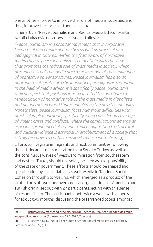one another in order to improve the role of media in societies, and thus, improve the societies themselves.(3)

#### In her article "Peace Journalism and Radical Media Ethics", Marta Natalia Lukacovic describes the issue as follows:

*"Peace journalism is a broader movement that incorporates theoretical and empirical branches as well as practical and pedagogical initiatives. Within the framework of normative media theory, peace journalism is compatible with the view that promotes the radical role of mass media in society, which presupposes that the media are to serve as one of the challengers of oppressive power structures. Peace journalism has also an aptitude to integrate into the innovative paradigmatic formations in the field of media ethics. It is specifically peace journalism's radical aspect that positions it as well suited to contribute to renegotiation of normative role of the mass media in globalized and democratized world that is enabled by the new technologies. Nonetheless, peace journalism faces numerous difficulties with practical implementation, specifically when considering coverage of violent crises and conflicts, where the complications emerge as especially pronounced. A broader radical opposition to structural and cultural violence is essential in establishment of a society that is truly receptive to conflict sensitivity/peace journalism."*(4)

Efforts to integrate immigrants and host communities following the last decade's mass migration from Syria to Turkey as well as the continuous waves of westward migration from southeastern and eastern Turkey should not solely be seen as a responsibility of the state or government. These efforts should be shaped and spearheaded by civil initiatives as well. Media in Tandem: Social Cohesion through Storytelling, which emerged as a product of the joint efforts of two nongovernmental organizations of American and Turkish origin, set out with 27 participants, acting with this sense of responsibility. The participants met twice a week with experts for about two months, discussing the prearranged topics amongst

<sup>(3)</sup> https://www.transcend.org/tms/2018/08/peace-journalism-a-needed-desirableand-practicable-reform/ (Accessed on: 22.2.2022, Tuesday).

<sup>(4)</sup> Lukacovic, M. N. (2016). Peace journalism and radical media ethics. Conflict & Communication, 15(2), 1-9.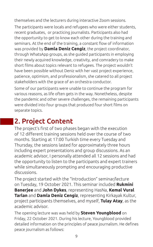<span id="page-8-0"></span>themselves and the lecturers during interactive Zoom sessions.

The participants were locals and refugees who were either students, recent graduates, or practicing journalists. Participants also had the opportunity to get to know each other during the training and seminars. At the end of the training, a constant flow of information was provided by **Damla Deniz Cengiz**, the project coordinator, through WhatsApp groups, as she guided participants in employing their newly acquired knowledge, creativity, and comradery to make short films about topics relevant to refugees. The project wouldn't have been possible without Deniz with her vast project experience, patience, optimism, and professionalism, she catered to all project stakeholders with the grace of an orchestra conductor.

Some of our participants were unable to continue the program for various reasons, as life often gets in the way. Nonetheless, despite the pandemic and other severe challenges, the remaining participants were divided into four groups that produced four short films on separate topics.

# 2. Project Content

The project's first of two phases began with the execution of 12 different training sessions held over the course of two months. Starting at 17:00 Turkish time every Tuesday and Thursday, the sessions lasted for approximately three hours including expert presentations and group discussions. As an academic advisor, I personally attended all 12 sessions and had the opportunity to listen to the participants and expert trainers while simultaneously prompting and encouraging productive discussions.

The project started with the "Introduction" seminar/lecture on Tuesday, 19 October 2021. This seminar included **Rukmini Banerjee** and **John Dykes**, representing HasNa, **Kemal Vural Tarlan** and **Damla Deniz Cengiz**, representing Kirkayak Kultur, project participants themselves, and myself, **Tulay Atay**, as the academic advisor.

The opening lecture was was held by **Steven Youngblood** on Friday, 22 October 2021. During his lecture, Youngblood provided detailed information on the principles of peace journalism. He defines peace journalism as follows: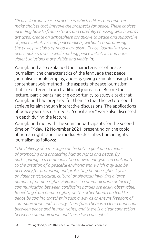*"Peace Journalism is a practice in which editors and reporters make choices that improve the prospects for peace. These choices, including how to frame stories and carefully choosing which words are used, create an atmosphere conducive to peace and supportive of peace initiatives and peacemakers, without compromising the basic principles of good journalism. Peace Journalism gives peacemakers a voice while making peace initiatives and nonviolent solutions more visible and viable."(5)*

Youngblood also explained the characteristics of peace journalism, the characteristics of the language that peace journalism should employ, and – by giving examples using the content analysis method – the aspects of peace journalism that are different from traditional journalism. Before the lecture, participants had the opportunity to study a text that Youngblood had prepared for them so that the lecture could achieve its aim though interactive discussions. The applications of peace journalism aimed at "conciliation" were also discussed in depth during the lecture.

Youngblood met with the seminar participants for the second time on Friday, 12 November 2021, presenting on the topic of human rights and the media. He describes human rights journalism as follows:

*"The delivery of a message can be both a goal and a means of promoting and protecting human rights and peace. By participating in a communication movement, you can contribute to the creation of a peaceful environment, which may also be necessary for promoting and protecting human rights. Cycles of violence (structural, cultural or physical) involving a large number of human rights violations in communication or lack of communication between conflicting parties are easily observable. Benefiting from human rights, on the other hand, can lead to peace by coming together in such a way as to ensure freedom of communication and security. Therefore, there is a clear connection between peace and human rights, and there is a clear connection between communication and these two concepts."*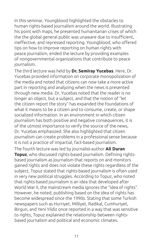In this seminar, Youngblood highlighted the obstacles to human rights-based journalism around the world. Illustrating his point with maps, he presented humanitarian crises of which the the global general public was unaware due to insufficient, ineffective, and repressed reporting. Youngblood, who offered tips on how to improve reporting on human rights with peace journalism, ended the lecture by providing examples of nongovernmental organizations that contribute to peace journalism.

The third lecture was held by **Dr. Semiray Yucebas**. Here, Dr. Yucebas provided information on corporate monopolization of the media and noted that citizens can now take a more active part in reporting and analyzing when the news is presented through new media. Dr. Yucebas noted that the reader is no longer an object, but a subject, and that the notion of "let the citizen report the story" has expanded the foundations of what it means to be a citizen and to consume, create, or shape socialized information. In an environment in which citizen journalism has both positive and negative consequences, it is of the utmost importance to verify the source of the news, Dr. Yucebas emphasized. She also highlighted that citizen journalism can create problems in a professional sense because it is not a practice of impartial, fact-based journalism.

The fourth lecture was led by journalist-author **Ali Duran Topuz**, who discussed rights-based journalism. Defining rightsbased journalism as journalism that reports on and monitors gained rights and does not violate these rights regardless of the subject, Topuz stated that rights-based journalism is often used in very new political struggles. According to Topuz, who noted that rights-based journalism is an idea that developed after World War II, the mainstream media ignores the "idea of rights". However, he noted, publishing based on the idea of rights has become widespread since the 1990s. Stating that some Turkish newspapers such as Hurriyet, Milliyet, Radikal, Cumhuriyet, Birgun, and Yeni Yildiz once reported in a way that was sensitive to rights, Topuz explained the relationship between rightsbased journalism and political and economic climates.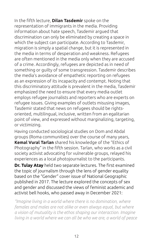In the fifth lecture, **Dilan Tasdemir** spoke on the representation of immigrants in the media. Providing information about hate speech, Tasdemir argued that discrimination can only be eliminated by creating a space in which the subject can participate. According to Tasdemir, migration is simply a spatial change, but it is represented in the media in terms of desperation and weakness. Refugees are often mentioned in the media only when they are accused of a crime. Accordingly, refugees are depicted as in need of something or guilty of some transgression. Tasdemir describes the media's avoidance of empathetic reporting on refugees as an expression of its incapacity and contempt. Noting that this discriminatory attitude is prevalent in the media, Tasdemir emphasized the need to ensure that every media outlet employs refugee journalists and reporters who are experts on refugee issues. Giving examples of outlets misusing images, Tasdemir stated that news on refugees should be rightsoriented, multilingual, inclusive, written from an egalitarian point of view, and expressed without marginalizing, targeting, or victimizing.

Having conducted sociological studies on Dom and Abdal groups (Roma communities) over the course of many years, **Kemal Vural Tarlan** shared his knowledge of the "Ethics of

Photography" in the fifth session. Tarlan, who works as a civil society activist advocating for vulnerable groups, relayed his experiences as a local photojournalist to the participants.

**Dr. Tulay Atay** held two separate lectures. The first examined the topic of journalism through the lens of gender equality based on the "Gender" cover issue of National Geographic published in 2017. The lecture explored the concepts of sex and gender and discussed the views of feminist academic and activist bell hooks, who passed away in December 2021:

*"Imagine living in a world where there is no domination, where females and males are not alike or even always equal, but where a vision of mutuality is the ethos shaping our interaction. Imagine living in a world where we can all be who we are, a world of peace*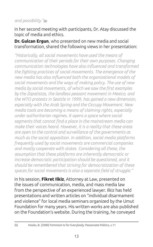#### *and possibility."(6)*

In her second meeting with participants, Dr. Atay discussed the topic of media and ethics.

#### **Dr. Gulcan Ergun**, who presented on new media and social transformation, shared the following views in her presentation:

*"Historically, all social movements have used the means of communication of their periods for their own purposes. Changing communication technologies have also influenced and transformed the fighting practices of social movements. The emergence of the new media has also influenced both the organizational models of social movements and the ways of making policy. The use of new media by social movements, of which we saw the first examples by the Zapatistas, the landless peasant movement in Mexico, and the WTO protests in Seattle in 1999, has gained a new dimension, especially with the Arab Spring and the Occupy Movement. New media tools are becoming a means of claiming rights, especially under authoritarian regimes. It opens a space where social segments that cannot find a place in the mainstream media can make their voices heard. However, it is a reality that these areas are open to the control and surveillance of the governments as much as the social opposition. In addition, social media platforms frequently used by social movements are commercial companies and mostly cooperate with states. Considering all these, the assumption that these platforms are inherently democratic or increase democratic participation should be questioned, and it should be remembered that striving for democratization of these spaces for social movements is also a separate field of struggle."*

In his session, **Fikret Ilkiz**, Attorney at Law, presented on the issues of communication, media, and mass media law from the perspective of an experienced lawyer. Ilkiz has held presentations and written articles on "individual disarmament and violence" for local media seminars organized by the Umut Foundation for many years. His written works are also published on the Foundation's website. During the training, he conveyed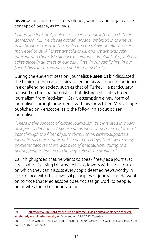#### his views on the concept of violence, which stands against the concept of peace, as follows:

*"When you look at it, violence is, in its broadest form, a state of aggression. [...] We all see hatred, grudge, ambition in the news, in its broadest form, in the media and on television. All these are marketed to us. All these are told to us, and we are gradually internalizing them. We all have a common complaint. Yes, violence takes place in all areas of our daily lives, in our family life, in our friendships, in the workplace and in the media."(7)*

During the eleventh session, journalist **Rusen Cakir** discussed the topic of media and ethics based on his work and experience in a challenging society such as that of Turkey. He particularly focused on the characteristics that distinguish rights-based journalism from "activism". Cakir, attempting a new form of journalism through new media with his show titled Mediascope published on Periscope, said the following about citizen journalism:

*"There is this concept of citizen journalism, but it is used in a very unsupervised manner. Anyone can produce something, but it must pass through the filter of journalism. I think citizen-supported journalism is more important. In our early days, there were many problems because there was a lot of amateurism; during this period, people showed us the way, solved the problem."* 

Cakir highlighted that he wants to speak freely as a journalist and that he is trying to provide his followers with a platform on which they can discuss every topic deemed newsworthy in accordance with the universal principles of journalism. He went on to note that Mediascope does not assign work to people, but invites them to cooperate.(8)

(7) http://www.umut.org.tr/-turkiye-de-bireysel-silahsizlanma-ve-siddet-haberleriyerel-medya-seminerleri-antakya/ (Accessed on: 22.2.2022, Tuesday).

<sup>(8)</sup> https://medarder.org/wp-content/uploads/2019/01/yurttasgazetecilik.pdf (Accessed on: 22.2.2022, Tuesday).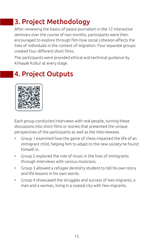# <span id="page-14-0"></span>3. Project Methodology

After reviewing the basics of peace journalism in the 12 interactive seminars over the course of two months, participants were then encouraged to explore through film how social cohesion affects the lives of individuals in the context of migration. Four separate groups created four different short films.

The participants were provided ethical and technical guidance by Kirkayak Kultur at every stage.

# 4. Project Outputs



Each group conducted interviews with real people, turning these discussions into short films or stories that presented the unique perspectives of the participants as well as the interviewees.

- Group 1 examined how the game of chess impacted the life of an immigrant child, helping him to adapt to the new society he found himself in.
- Group 2 explored the role of music in the lives of immigrants through interviews with various musicians.
- Group 3 allowed a refugee dentistry student to tell his own story and life lessons in his own words.
- Group 4 showcased the struggles and success of two migrants, a man and a woman, living in a coastal city with few migrants.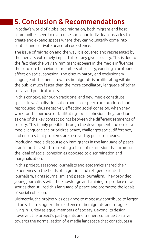# <span id="page-15-0"></span>5. Conclusion & Recommendations

In today's world of globalized migration, both migrant and host communities need to overcome social and individual obstacles to create and expand spaces where they can voluntarily come into contact and cultivate peaceful coexistence.

The issue of migration and the way it is covered and represented by the media is extremely impactful for any given society. This is due to the fact that the way an immigrant appears in the media influences the concrete behaviors of members of society, exerting a profound effect on social cohesion. The discriminatory and exclusionary language of the media towards immigrants is proliferating within the public much faster than the more conciliatory language of other social and political actors.

In this context, although traditional and new media constitute spaces in which discrimination and hate speech are produced and reproduced, thus negatively affecting social cohesion, when they work for the purpose of facilitating social cohesion, they function as one of the key contact points between the different segments of society. This is only possible through the development and use of a media language the prioritizes peace, challenges social difference, and ensures that problems are resolved by peaceful means.

Producing media discourse on immigrants in the language of peace is an important start to creating a form of expression that promotes the ideal of social cohesion as opposed to discrimination and marginalization.

In this project, seasoned journalists and academics shared their experiences in the fields of migration and refugee-oriented journalism, rights journalism, and peace journalism. They provided young journalists with the knowledge and training to produce news stories that utilized this language of peace and promoted the ideals of social cohesion.

Ultimately, the project was designed to modestly contribute to larger efforts that recognize the existence of immigrants and refugees living in Turkey as equal members of society. Beyond its design, however, the project's participants and trainers continue to strive towards the normalization of a media landscape that constitutes a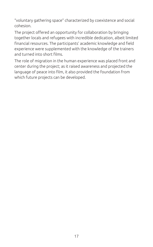"voluntary gathering space" characterized by coexistence and social cohesion.

The project offered an opportunity for collaboration by bringing together locals and refugees with incredible dedication, albeit limited financial resources. The participants' academic knowledge and field experience were supplemented with the knowledge of the trainers and turned into short films.

The role of migration in the human experience was placed front and center during the project; as it raised awareness and projected the language of peace into film, it also provided the foundation from which future projects can be developed.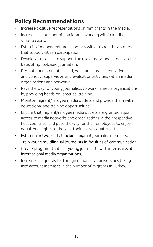### <span id="page-17-0"></span>**Policy Recommendations**

- Increase positive representations of immigrants in the media.
- Increase the number of immigrants working within media organizations.
- Establish independent media portals with strong ethical codes that support citizen participation.
- Develop strategies to support the use of new media tools on the basis of rights-based journalism.
- Promote human rights-based, egalitarian media education and conduct supervision and evaluation activities within media organizations and networks.
- Pave the way for young journalists to work in media organizations by providing hands-on, practical training.
- Monitor migrant/refugee media outlets and provide them with educational and training opportunities.
- Ensure that migrant/refugee media outlets are granted equal access to media networks and organizations in their respective host countries, and pave the way for their employees to enjoy equal legal rights to those of their native counterparts.
- Establish networks that include migrant journalist members.
- Train young multilingual journalists in faculties of communication.
- Create programs that pair young journalists with internships at international media organizations.
- Increase the quotas for foreign nationals at universities taking into account increases in the number of migrants in Turkey.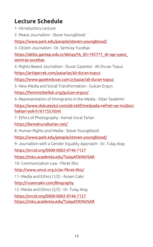### <span id="page-18-0"></span>**Lecture Schedule**

1- Introductory Lecture

2- Peace Journalism - Steve Youngblood

<https://www.park.edu/people/steven-youngblood/>

3- Citizen Journalism - Dr. Semiray Yucebas

[https://akbis.gantep.edu.tr/detay/?A\\_ID=192771\\_dr-ogr-uyesi\\_](https://akbis.gantep.edu.tr/detay/?A_ID=192771_dr-ogr-uyesi_semiray-yucebas) [semiray-yucebas](https://akbis.gantep.edu.tr/detay/?A_ID=192771_dr-ogr-uyesi_semiray-yucebas)

4- Rights-Based Journalism - Duvar Gazetesi - Ali Duran Topuz

<https://artigercek.com/yazarlar/ali-duran-topuz>

<https://www.gazeteduvar.com.tr/yazar/ali-duran-topuz>

5- New Media and Social Transformation - Gulcan Ergun

<https://feministbellek.org/gulcan-ergun/>

6- Representation of Immigrants in the Media - Dilan Tasdemir

[https://www.dokuzeylul.com/ab-telif/medyada-nefret-var-multeci](https://www.dokuzeylul.com/ab-telif/medyada-nefret-var-multeci-haklari-yok-h161155.html)[haklari-yok-h161155.html](https://www.dokuzeylul.com/ab-telif/medyada-nefret-var-multeci-haklari-yok-h161155.html)

7- Ethics of Photography - Kemal Vural Tarlan

<https://kemalvuraltarlan.net/>

8- Human Rights and Media - Steve Youngblood

<https://www.park.edu/people/steven-youngblood/>

9- Journalism with a Gender Equality Approach - Dr. Tulay Atay

<https://orcid.org/0000-0002-0746-7127>

<https://mku.academia.edu/TulayATAYAVSAR>

10- Communication Law - Fikret Ilkiz

<http://www.umut.org.tr/av-fikret-ilkiz/>

11- Media and Ethics (1/2) - Rusen Cakir

<http://rusencakir.com/Biography>

12- Media and Ethics (2/2) - Dr. Tulay Atay

<https://orcid.org/0000-0002-0746-7127> <https://mku.academia.edu/TulayATAYAVSAR>